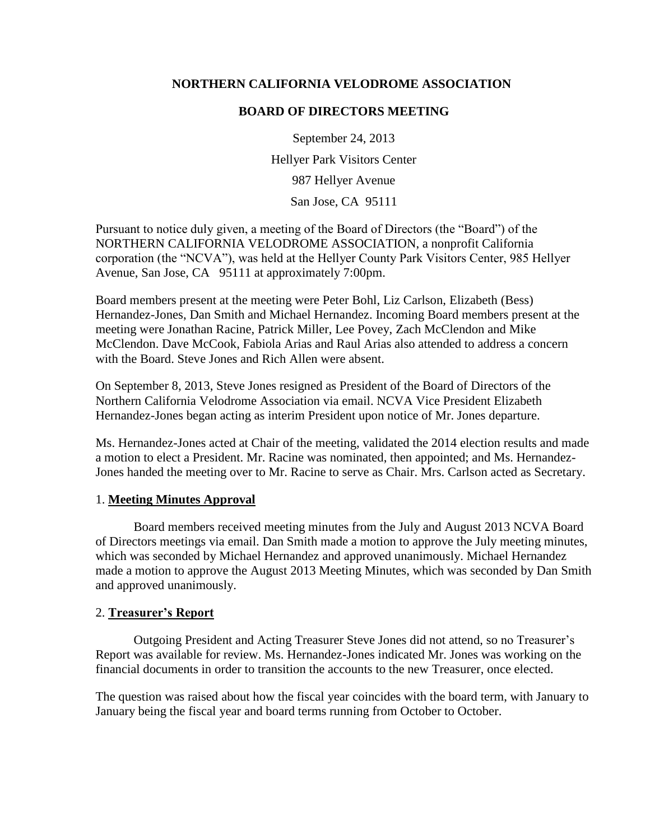## **NORTHERN CALIFORNIA VELODROME ASSOCIATION**

#### **BOARD OF DIRECTORS MEETING**

September 24, 2013 Hellyer Park Visitors Center 987 Hellyer Avenue San Jose, CA 95111

Pursuant to notice duly given, a meeting of the Board of Directors (the "Board") of the NORTHERN CALIFORNIA VELODROME ASSOCIATION, a nonprofit California corporation (the "NCVA"), was held at the Hellyer County Park Visitors Center, 985 Hellyer Avenue, San Jose, CA 95111 at approximately 7:00pm.

Board members present at the meeting were Peter Bohl, Liz Carlson, Elizabeth (Bess) Hernandez-Jones, Dan Smith and Michael Hernandez. Incoming Board members present at the meeting were Jonathan Racine, Patrick Miller, Lee Povey, Zach McClendon and Mike McClendon. Dave McCook, Fabiola Arias and Raul Arias also attended to address a concern with the Board. Steve Jones and Rich Allen were absent.

On September 8, 2013, Steve Jones resigned as President of the Board of Directors of the Northern California Velodrome Association via email. NCVA Vice President Elizabeth Hernandez-Jones began acting as interim President upon notice of Mr. Jones departure.

Ms. Hernandez-Jones acted at Chair of the meeting, validated the 2014 election results and made a motion to elect a President. Mr. Racine was nominated, then appointed; and Ms. Hernandez-Jones handed the meeting over to Mr. Racine to serve as Chair. Mrs. Carlson acted as Secretary.

## 1. **Meeting Minutes Approval**

Board members received meeting minutes from the July and August 2013 NCVA Board of Directors meetings via email. Dan Smith made a motion to approve the July meeting minutes, which was seconded by Michael Hernandez and approved unanimously. Michael Hernandez made a motion to approve the August 2013 Meeting Minutes, which was seconded by Dan Smith and approved unanimously.

## 2. **Treasurer's Report**

Outgoing President and Acting Treasurer Steve Jones did not attend, so no Treasurer's Report was available for review. Ms. Hernandez-Jones indicated Mr. Jones was working on the financial documents in order to transition the accounts to the new Treasurer, once elected.

The question was raised about how the fiscal year coincides with the board term, with January to January being the fiscal year and board terms running from October to October.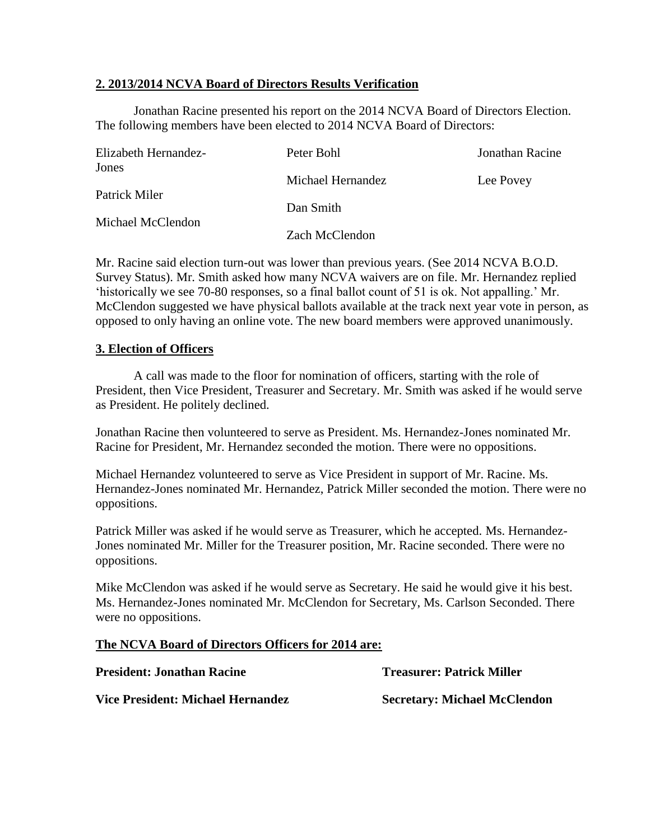## **2. 2013/2014 NCVA Board of Directors Results Verification**

Jonathan Racine presented his report on the 2014 NCVA Board of Directors Election. The following members have been elected to 2014 NCVA Board of Directors:

| Elizabeth Hernandez-<br>Jones<br>Patrick Miler<br>Michael McClendon | Peter Bohl        | Jonathan Racine |
|---------------------------------------------------------------------|-------------------|-----------------|
|                                                                     | Michael Hernandez | Lee Povey       |
|                                                                     | Dan Smith         |                 |
|                                                                     | Zach McClendon    |                 |

Mr. Racine said election turn-out was lower than previous years. (See 2014 NCVA B.O.D. Survey Status). Mr. Smith asked how many NCVA waivers are on file. Mr. Hernandez replied 'historically we see 70-80 responses, so a final ballot count of 51 is ok. Not appalling.' Mr. McClendon suggested we have physical ballots available at the track next year vote in person, as opposed to only having an online vote. The new board members were approved unanimously.

## **3. Election of Officers**

A call was made to the floor for nomination of officers, starting with the role of President, then Vice President, Treasurer and Secretary. Mr. Smith was asked if he would serve as President. He politely declined.

Jonathan Racine then volunteered to serve as President. Ms. Hernandez-Jones nominated Mr. Racine for President, Mr. Hernandez seconded the motion. There were no oppositions.

Michael Hernandez volunteered to serve as Vice President in support of Mr. Racine. Ms. Hernandez-Jones nominated Mr. Hernandez, Patrick Miller seconded the motion. There were no oppositions.

Patrick Miller was asked if he would serve as Treasurer, which he accepted. Ms. Hernandez-Jones nominated Mr. Miller for the Treasurer position, Mr. Racine seconded. There were no oppositions.

Mike McClendon was asked if he would serve as Secretary. He said he would give it his best. Ms. Hernandez-Jones nominated Mr. McClendon for Secretary, Ms. Carlson Seconded. There were no oppositions.

## **The NCVA Board of Directors Officers for 2014 are:**

**President: Jonathan Racine**

# **Treasurer: Patrick Miller**

**Vice President: Michael Hernandez**

**Secretary: Michael McClendon**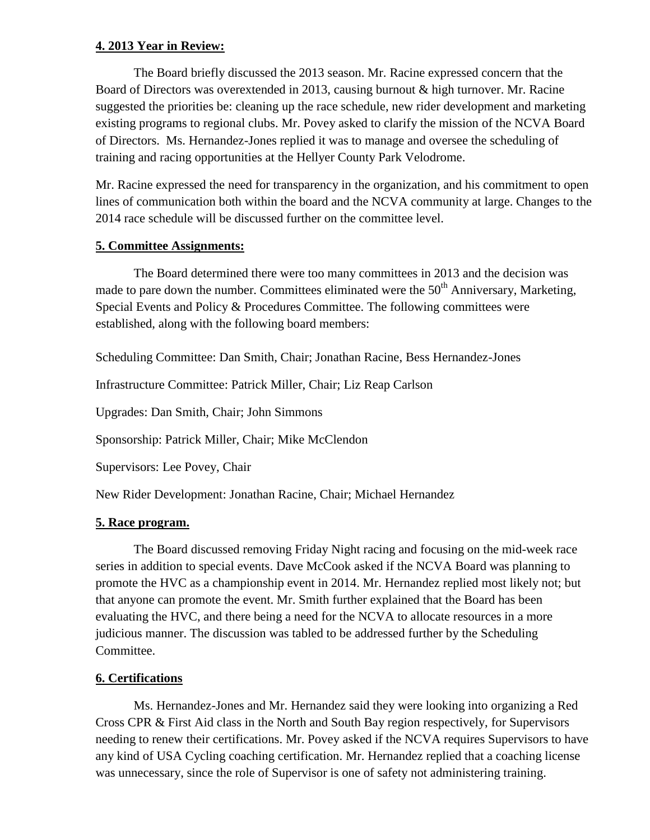## **4. 2013 Year in Review:**

The Board briefly discussed the 2013 season. Mr. Racine expressed concern that the Board of Directors was overextended in 2013, causing burnout & high turnover. Mr. Racine suggested the priorities be: cleaning up the race schedule, new rider development and marketing existing programs to regional clubs. Mr. Povey asked to clarify the mission of the NCVA Board of Directors. Ms. Hernandez-Jones replied it was to manage and oversee the scheduling of training and racing opportunities at the Hellyer County Park Velodrome.

Mr. Racine expressed the need for transparency in the organization, and his commitment to open lines of communication both within the board and the NCVA community at large. Changes to the 2014 race schedule will be discussed further on the committee level.

# **5. Committee Assignments:**

The Board determined there were too many committees in 2013 and the decision was made to pare down the number. Committees eliminated were the  $50<sup>th</sup>$  Anniversary, Marketing, Special Events and Policy & Procedures Committee. The following committees were established, along with the following board members:

Scheduling Committee: Dan Smith, Chair; Jonathan Racine, Bess Hernandez-Jones

Infrastructure Committee: Patrick Miller, Chair; Liz Reap Carlson

Upgrades: Dan Smith, Chair; John Simmons

Sponsorship: Patrick Miller, Chair; Mike McClendon

Supervisors: Lee Povey, Chair

New Rider Development: Jonathan Racine, Chair; Michael Hernandez

# **5. Race program.**

The Board discussed removing Friday Night racing and focusing on the mid-week race series in addition to special events. Dave McCook asked if the NCVA Board was planning to promote the HVC as a championship event in 2014. Mr. Hernandez replied most likely not; but that anyone can promote the event. Mr. Smith further explained that the Board has been evaluating the HVC, and there being a need for the NCVA to allocate resources in a more judicious manner. The discussion was tabled to be addressed further by the Scheduling Committee.

# **6. Certifications**

Ms. Hernandez-Jones and Mr. Hernandez said they were looking into organizing a Red Cross CPR & First Aid class in the North and South Bay region respectively, for Supervisors needing to renew their certifications. Mr. Povey asked if the NCVA requires Supervisors to have any kind of USA Cycling coaching certification. Mr. Hernandez replied that a coaching license was unnecessary, since the role of Supervisor is one of safety not administering training.